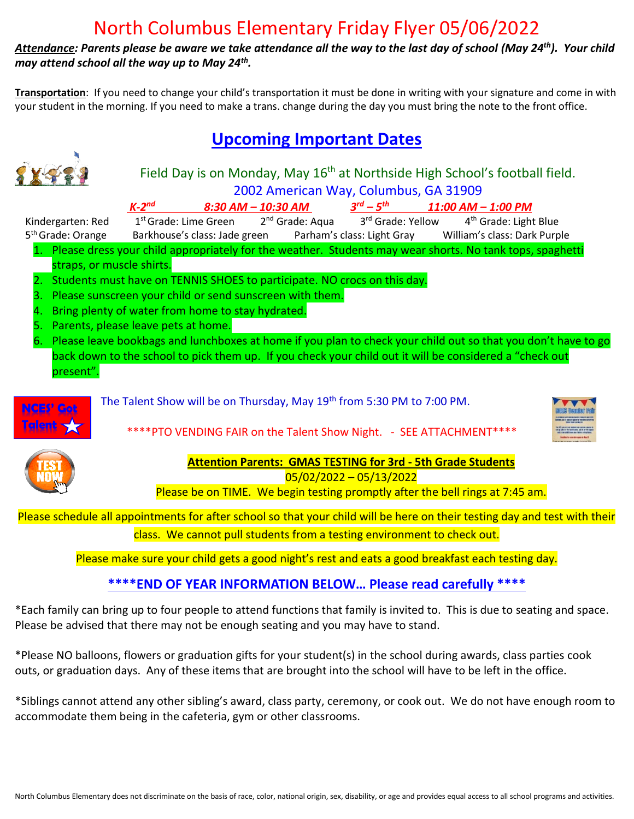## North Columbus Elementary Friday Flyer 05/06/2022

*Attendance: Parents please be aware we take attendance all the way to the last day of school (May 24th). Your child may attend school all the way up to May 24th .* 

**Transportation**: If you need to change your child's transportation it must be done in writing with your signature and come in with your student in the morning. If you need to make a trans. change during the day you must bring the note to the front office.

## **Upcoming Important Dates**



## Field Day is on Monday, May 16<sup>th</sup> at Northside High School's football field. 2002 American Way, Columbus, GA 31909

*8:30 AM – 10:30 AM* 

 $3^{rd}$  –  $5^{th}$ *th 11:00 AM – 1:00 PM*   $1<sup>st</sup>$  Grade: Lime Green 2<sup>nd</sup> Grade: Aqua 3<sup>rd</sup> Grade: Yellow 4<sup>th</sup> Grade: Light Blue

Kindergarten: Red 1

- 5<sup>th</sup> [Grade: O](https://creativecommons.org/licenses/by-nc-nd/3.0/)range Barkhouse's class: Jade green Parham's class: Light Gray William's class: Dark Purple 1. Please dress your child appropriately for the weather. Students may wear shorts. No tank tops, spaghetti straps, or muscle shirts.
	- 2. Students must have on TENNIS SHOES to participate. NO crocs on this day.
	- 3. Please sunscreen your child or send sunscreen with them.
	- 4. Bring plenty of water from home to stay hydrated.
	- 5. Parents, please leave pets at home.

*K-2*

6. Please leave bookbags and lunchboxes at home if you plan to check your child out so that you don't have to go back down to the school to pick them up. If you check your child out it will be considered a "check out present".



The Talent Show will be on Thursday, May 19<sup>th</sup> from 5:30 PM to 7:00 PM.

\*\*\*\*PTO VENDING FAIR on the Talent Show Night. - SEE ATTACHMENT\*\*\*\*





**Attention Parents: GMAS TESTING for 3rd - 5th Grade Students** 05/02/2022 – 05/13/2022

Please be on TIME. We begin testing promptly after the bell rings at 7:45 am.

Pl[ease s](https://www.freepngimg.com/png/74593-button-testing-manual-computer-now-software)chedule all appointments for after school so that your child will be here on their testing day and test with their class. We cannot pull students from a testing environment to check out.

Please make sure your child gets a good night's rest and eats a good breakfast each testing day.

## **\*\*\*\*END OF YEAR INFORMATION BELOW… Please read carefully \*\*\*\***

\*Each family can bring up to four people to attend functions that family is invited to. This is due to seating and space. Please be advised that there may not be enough seating and you may have to stand.

\*Please NO balloons, flowers or graduation gifts for your student(s) in the school during awards, class parties cook outs, or graduation days. Any of these items that are brought into the school will have to be left in the office.

\*Siblings cannot attend any other sibling's award, class party, ceremony, or cook out. We do not have enough room to accommodate them being in the cafeteria, gym or other classrooms.